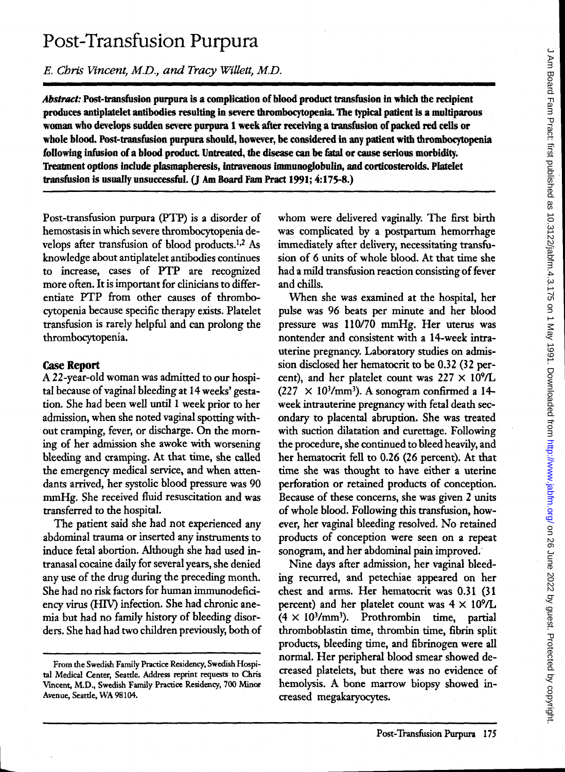# Post-Transfusion Purpura

*E. Chris Vincent, M.D., and Tracy Willett, M.D.* 

*Abstract:* Post-transfusion purpura is a complication of blood product transfusion in which the recipient produces antiplatelet antibodies resulting in severe thrombocytopenia. The typical patient is a multiparous woman who develops sudden severe purpura 1 week after receiving a transfusion of packed red cells or whole blood. Post-transfusion purpura should, however, be considered in any patient with thrombocytopenia following infusion of a blood product. Untreated, the disease can be fatal or cause serious morbidity. Treatment options include plasmapheresis, intravenous immunoglobulin, and corticosteroids. Platelet transfusion is usually unsuccessful. (J Am Board Fam Pract 1991; 4:175-8.)

Post-transfusion purpura (PTP) is a disorder of hemostasis in which severe thrombocytopenia develops after transfusion of blood products.1,2 As knowledge about antiplatelet antibodies continues to increase, cases of PTP are recognized more often. It is important for clinicians to differentiate PTP from other causes of thrombocytopenia because specific therapy exists. Platelet transfusion is rarely helpful and can prolong the thrombocytopenia.

## Case Report

A 22-year-old woman was admitted to our hospital because of vaginal bleeding at 14 weeks' gestation. She had been well until 1 week prior to her admission, when she noted vaginal spotting without cramping, fever, or discharge. On the morning of her admission she awoke with worsening bleeding and cramping. At that time, she called the emergency medical service, and when attendants arrived, her systolic blood pressure was 90 mmHg. She received fluid resuscitation and was transferred to the hospital.

The patient said she had not experienced any abdominal trauma or inserted any instruments to induce fetal abortion. Although she had used intranasal cocaine daily for several years, she denied any use of the drug during the preceding month. She had no risk factors for human immunodeficiency virus (HIV) infection. She had chronic anemia but had no family history of bleeding disorders. She had had two children previously, both of whom were delivered vaginally. The first birth was complicated by a postpartum hemorrhage immediately after delivery, necessitating transfusion of 6 units of whole blood. At that time she had a mild transfusion reaction consisting of fever and chills.

When she was examined at the hospital, her pulse was 96 beats per minute and her blood pressure was 110/70 mmHg. Her uterus was nontender and consistent with a 14-week intrauterine pregnancy. Laboratory studies on admission disclosed her hematocrit to be 0.32 (32 percent), and her platelet count was  $227 \times 10^9$ /L  $(227 \times 10^3/\text{mm}^3)$ . A sonogram confirmed a 14week intrauterine pregnancy with fetal death secondary to placental abruption. She was treated with suction dilatation and curettage. Following the procedure, she continued to bleed heavily, and her hematocrit fell to 0.26 (26 percent). At that time she was thought to have either a uterine perforation or retained products of conception. Because of these concerns, she was given 2 units of whole blood. Following this transfusion, however, her vaginal bleeding resolved. No retained products of conception were seen on a repeat sonogram, and her abdominal pain improved.'

Nine days after admission, her vaginal bleeding recurred, and petechiae appeared on her chest and arms. Her hematocrit was 0.31 (31 percent) and her platelet count was  $4 \times 10^{9}$ /L  $(4 \times 10^{3}/\text{mm}^3)$ . Prothrombin time, partial thromboblastin time, thrombin time, fibrin split products, bleeding time, and fibrinogen were all normal. Her peripheral blood smear showed decreased platelets, but there was no evidence of hemolysis. A bone marrow biopsy showed increased megakaryocytes.

From the Swedish Family Practice Residency, Swedish Hospital Medical Center, Seattle. Address reprint requests to Chris Vmcent, M.D., Swedish Family Practice Residency, 700 Minor Avenue, Seattle, WA 98104.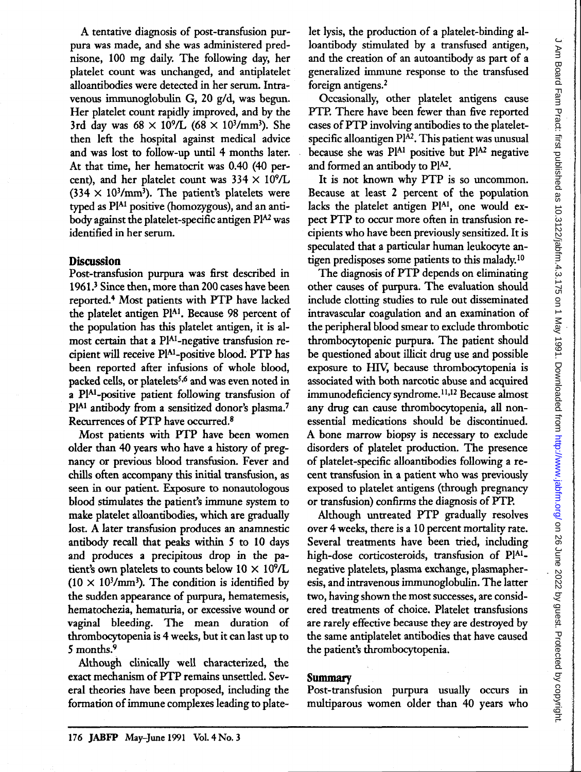A tentative diagnosis of post-transfusion purpura was made, and she was administered prednisone, 100 mg daily. The following day, her platelet count was unchanged, and antiplatelet alloantibodies were detected in her serum. Intravenous immunoglobulin G, 20 g/d, was begun. Her platelet count rapidly improved, and by the 3rd day was  $68 \times 10^{9}$ /L  $(68 \times 10^{3}$ /mm<sup>3</sup>). She then left the hospital against medical advice and was lost to follow-up until 4 months later. At that time, her hematocrit was 0.40 (40 percent), and her platelet count was  $334 \times 10^9$ /L  $(334 \times 10^{3}/\text{mm}^3)$ . The patient's platelets were typed as PIAl positive (homozygous), and an antibody against the platelet-specific antigen PlA2 was identified in her serum.

### **Discussion**

Post-transfusion purpura was first described in 1961.3 Since then, more than 200 cases have been reported.4 Most patients with PTP have lacked the platelet antigen PIAl. Because 98 percent of the population has this platelet antigen, it is almost certain that a PIAl-negative transfusion recipient will receive PIAl\_positive blood. PTP has been reported after infusions of whole blood, packed cells, or platelets<sup>5,6</sup> and was even noted in a PIAl-positive patient following transfusion of Pl<sup>A1</sup> antibody from a sensitized donor's plasma.<sup>7</sup> Recurrences of PTP have occurred.8

Most patients with PTP have been women older than 40 years who have a history of pregnancy or previous blood transfusion. Fever and chills often accompany this initial transfusion, as seen in our patient. Exposure to nonautologous blood stimulates the patient's immune system to make platelet alloantibodies, which are gradually lost. A later transfusion produces an anamnestic antibody recall that peaks within 5 to 10 days and produces a precipitous drop in the patient's own platelets to counts below  $10 \times 10^9$ /L  $(10 \times 10^{3}/\text{mm}^3)$ . The condition is identified by the sudden appearance of purpura, hematemesis, hematochezia, hematuria, or excessive wound or vaginal bleeding. The mean duration of thrombocytopenia is 4 weeks, but it can last up to 5 months.9

Although clinically well characterized, the exact mechanism of PTP remains unsettled. Several theories have been proposed, including the formation of immune complexes leading to platelet lysis, the production of a platelet-binding alloantibody stimulated by a transfused antigen, and the creation of an autoantibody as part of a generalized immune response to the transfused foreign antigens.2

Occasionally, other platelet antigens cause PTP. There have been fewer than five reported cases of PTP involving antibodies to the plateletspecific alloantigen  $Pl^{A2}$ . This patient was unusual because she was  $P^{A1}$  positive but  $P^{A2}$  negative and formed an antibody to PlA2.

It is not known why PTP is so uncommon. Because at least 2 percent of the population lacks the platelet antigen PlA1, one would expect PTP to occur more often in transfusion recipients who have been previously sensitized. It is speculated that a particular human leukocyte antigen predisposes some patients to this malady.<sup>10</sup>

The diagnosis of PTP depends on eliminating other causes of purpura. The evaluation should include clotting studies to rule out disseminated intravascular coagulation and an examination of the peripheral blood smear to exclude thrombotic thrombocytopenic purpura. The patient should be questioned about illicit drug use and possible exposure to HIV, because thrombocytopenia is associated with both narcotic abuse and acquired immunodeficiency syndrome.<sup>11,12</sup> Because almost any drug can cause thrombocytopenia, all nonessential medications should be discontinued. A bone marrow biopsy is necessary to exclude disorders of platelet production. The presence of platelet-specific alloantibodies following a recent transfusion in a patient who was previously exposed to platelet antigens (through pregnancy or transfusion) confirms the diagnosis of PTP.

Although untreated PTP gradually resolves over 4 weeks, there is a 10 percent mortality rate. Several treatments have been tried, including high-dose corticosteroids, transfusion of PIAI\_ negative platelets, plasma exchange, plasmapheresis, and intravenous immunoglobulin. The latter two, having shown the most successes, are considered treatments of choice. Platelet transfusions are rarely effective because they are destroyed by the same antiplatelet antibodies that have caused the patient's thrombocytopenia.

### **Summary**

Post-transfusion purpura usually occurs in multiparous women older than 40 years who